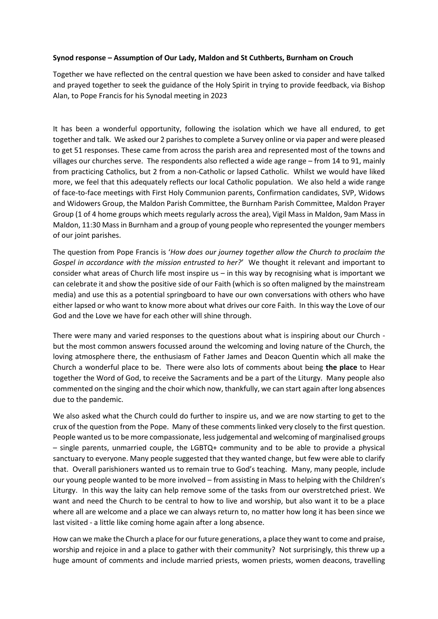## **Synod response – Assumption of Our Lady, Maldon and St Cuthberts, Burnham on Crouch**

Together we have reflected on the central question we have been asked to consider and have talked and prayed together to seek the guidance of the Holy Spirit in trying to provide feedback, via Bishop Alan, to Pope Francis for his Synodal meeting in 2023

It has been a wonderful opportunity, following the isolation which we have all endured, to get together and talk. We asked our 2 parishes to complete a Survey online or via paper and were pleased to get 51 responses. These came from across the parish area and represented most of the towns and villages our churches serve. The respondents also reflected a wide age range – from 14 to 91, mainly from practicing Catholics, but 2 from a non-Catholic or lapsed Catholic. Whilst we would have liked more, we feel that this adequately reflects our local Catholic population. We also held a wide range of face-to-face meetings with First Holy Communion parents, Confirmation candidates, SVP, Widows and Widowers Group, the Maldon Parish Committee, the Burnham Parish Committee, Maldon Prayer Group (1 of 4 home groups which meets regularly across the area), Vigil Mass in Maldon, 9am Mass in Maldon, 11:30 Mass in Burnham and a group of young people who represented the younger members of our joint parishes.

The question from Pope Francis is '*How does our journey together allow the Church to proclaim the Gospel in accordance with the mission entrusted to her?*' We thought it relevant and important to consider what areas of Church life most inspire us  $-$  in this way by recognising what is important we can celebrate it and show the positive side of our Faith (which is so often maligned by the mainstream media) and use this as a potential springboard to have our own conversations with others who have either lapsed or who want to know more about what drives our core Faith. In this way the Love of our God and the Love we have for each other will shine through.

There were many and varied responses to the questions about what is inspiring about our Church but the most common answers focussed around the welcoming and loving nature of the Church, the loving atmosphere there, the enthusiasm of Father James and Deacon Quentin which all make the Church a wonderful place to be. There were also lots of comments about being **the place** to Hear together the Word of God, to receive the Sacraments and be a part of the Liturgy. Many people also commented on the singing and the choir which now, thankfully, we can start again after long absences due to the pandemic.

We also asked what the Church could do further to inspire us, and we are now starting to get to the crux of the question from the Pope. Many of these comments linked very closely to the first question. People wanted us to be more compassionate, less judgemental and welcoming of marginalised groups – single parents, unmarried couple, the LGBTQ+ community and to be able to provide a physical sanctuary to everyone. Many people suggested that they wanted change, but few were able to clarify that. Overall parishioners wanted us to remain true to God's teaching. Many, many people, include our young people wanted to be more involved – from assisting in Mass to helping with the Children's Liturgy. In this way the laity can help remove some of the tasks from our overstretched priest. We want and need the Church to be central to how to live and worship, but also want it to be a place where all are welcome and a place we can always return to, no matter how long it has been since we last visited - a little like coming home again after a long absence.

How can we make the Church a place for our future generations, a place they want to come and praise, worship and rejoice in and a place to gather with their community? Not surprisingly, this threw up a huge amount of comments and include married priests, women priests, women deacons, travelling